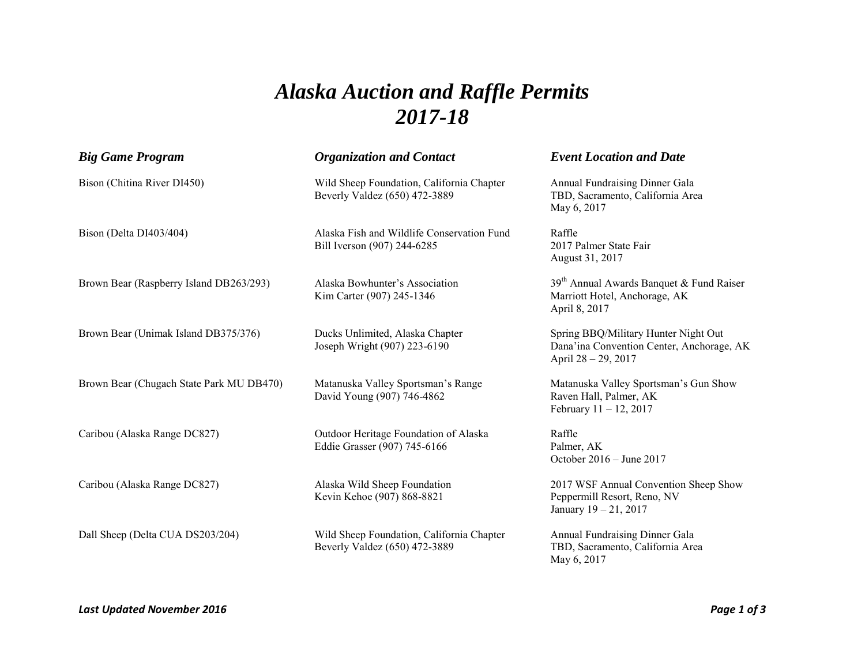## *Alaska Auction and Raffle Permits 2017-18*

| <b>Big Game Program</b>                  | <b>Organization and Contact</b>                                            | <b>Event Location and Date</b>                                                                           |
|------------------------------------------|----------------------------------------------------------------------------|----------------------------------------------------------------------------------------------------------|
| Bison (Chitina River DI450)              | Wild Sheep Foundation, California Chapter<br>Beverly Valdez (650) 472-3889 | Annual Fundraising Dinner Gala<br>TBD, Sacramento, California Area<br>May 6, 2017                        |
| Bison (Delta DI403/404)                  | Alaska Fish and Wildlife Conservation Fund<br>Bill Iverson (907) 244-6285  | Raffle<br>2017 Palmer State Fair<br>August 31, 2017                                                      |
| Brown Bear (Raspberry Island DB263/293)  | Alaska Bowhunter's Association<br>Kim Carter (907) 245-1346                | $39th$ Annual Awards Banquet & Fund Raiser<br>Marriott Hotel, Anchorage, AK<br>April 8, 2017             |
| Brown Bear (Unimak Island DB375/376)     | Ducks Unlimited, Alaska Chapter<br>Joseph Wright (907) 223-6190            | Spring BBQ/Military Hunter Night Out<br>Dana'ina Convention Center, Anchorage, AK<br>April 28 – 29, 2017 |
| Brown Bear (Chugach State Park MU DB470) | Matanuska Valley Sportsman's Range<br>David Young (907) 746-4862           | Matanuska Valley Sportsman's Gun Show<br>Raven Hall, Palmer, AK<br>February $11 - 12$ , 2017             |
| Caribou (Alaska Range DC827)             | Outdoor Heritage Foundation of Alaska<br>Eddie Grasser (907) 745-6166      | Raffle<br>Palmer, AK<br>October 2016 – June 2017                                                         |
| Caribou (Alaska Range DC827)             | Alaska Wild Sheep Foundation<br>Kevin Kehoe (907) 868-8821                 | 2017 WSF Annual Convention Sheep Show<br>Peppermill Resort, Reno, NV<br>January 19 - 21, 2017            |
| Dall Sheep (Delta CUA DS203/204)         | Wild Sheep Foundation, California Chapter<br>Beverly Valdez (650) 472-3889 | Annual Fundraising Dinner Gala<br>TBD, Sacramento, California Area<br>May 6, 2017                        |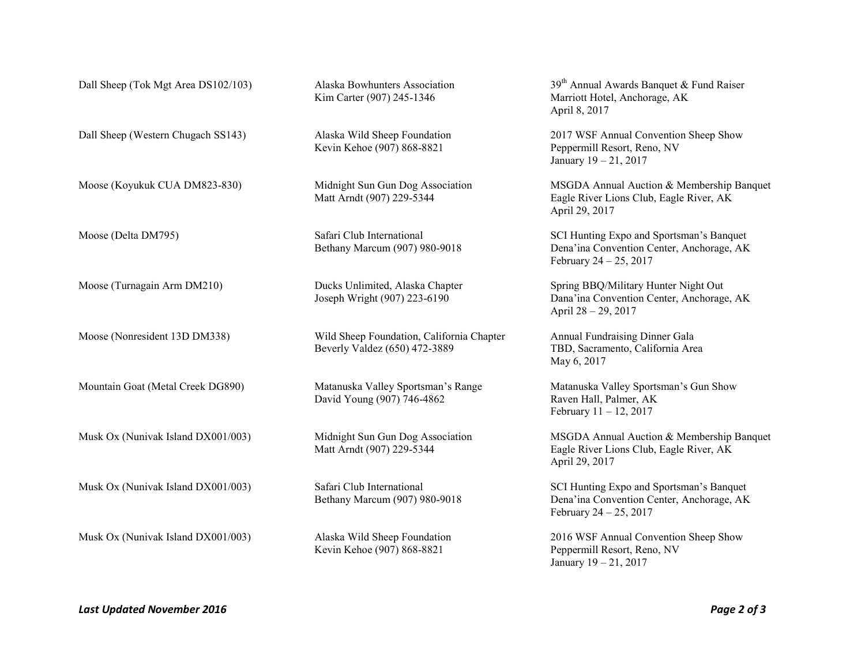|                                    | Kevin Kehoe (907) 868-8821                                                 | Peppermill Resort, Reno, NV<br>January 19 - 21, 2017                                                               |
|------------------------------------|----------------------------------------------------------------------------|--------------------------------------------------------------------------------------------------------------------|
| Moose (Koyukuk CUA DM823-830)      | Midnight Sun Gun Dog Association<br>Matt Arndt (907) 229-5344              | MSGDA Annual Auction & Membership Banquet<br>Eagle River Lions Club, Eagle River, AK<br>April 29, 2017             |
| Moose (Delta DM795)                | Safari Club International<br>Bethany Marcum (907) 980-9018                 | SCI Hunting Expo and Sportsman's Banquet<br>Dena'ina Convention Center, Anchorage, AK<br>February $24 - 25$ , 2017 |
| Moose (Turnagain Arm DM210)        | Ducks Unlimited, Alaska Chapter<br>Joseph Wright (907) 223-6190            | Spring BBQ/Military Hunter Night Out<br>Dana'ina Convention Center, Anchorage, AK<br>April 28 - 29, 2017           |
| Moose (Nonresident 13D DM338)      | Wild Sheep Foundation, California Chapter<br>Beverly Valdez (650) 472-3889 | Annual Fundraising Dinner Gala<br>TBD, Sacramento, California Area<br>May 6, 2017                                  |
| Mountain Goat (Metal Creek DG890)  | Matanuska Valley Sportsman's Range<br>David Young (907) 746-4862           | Matanuska Valley Sportsman's Gun Show<br>Raven Hall, Palmer, AK<br>February $11 - 12$ , 2017                       |
| Musk Ox (Nunivak Island DX001/003) | Midnight Sun Gun Dog Association<br>Matt Arndt (907) 229-5344              | MSGDA Annual Auction & Membership Banquet<br>Eagle River Lions Club, Eagle River, AK<br>April 29, 2017             |
| Musk Ox (Nunivak Island DX001/003) | Safari Club International<br>Bethany Marcum (907) 980-9018                 | SCI Hunting Expo and Sportsman's Banquet<br>Dena'ina Convention Center, Anchorage, AK<br>February $24 - 25$ , 2017 |
| Musk Ox (Nunivak Island DX001/003) | Alaska Wild Sheep Foundation<br>Kevin Kehoe (907) 868-8821                 | 2016 WSF Annual Convention Sheep Show<br>Peppermill Resort, Reno, NV<br>January 19 - 21, 2017                      |

Dall Sheep (Tok Mgt Area DS102/103) Alaska Bowhunters Association 39<sup>th</sup> Annual Awards Banquet & Fund Raiser

Dall Sheep (Western Chugach SS143) Alaska Wild Sheep Foundation 2017 WSF Annual Convention Sheep Show

April 8, 2017

Kim Carter (907) 245-1346 Marriott Hotel, Anchorage, AK